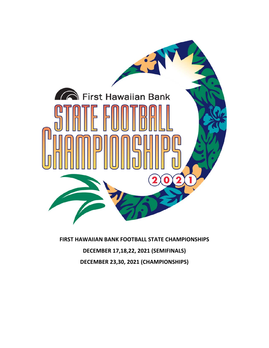

**FIRST HAWAIIAN BANK FOOTBALL STATE CHAMPIONSHIPS DECEMBER 17,18,22, 2021 (SEMIFINALS) DECEMBER 23,30, 2021 (CHAMPIONSHIPS)**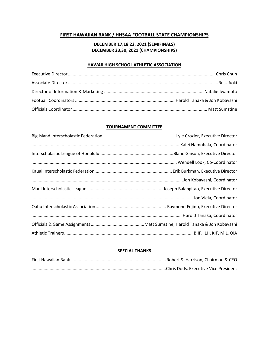# **FIRST HAWAIIAN BANK / HHSAA FOOTBALL STATE CHAMPIONSHIPS**

# **DECEMBER 17,18,22, 2021 (SEMIFINALS) DECEMBER 23,30, 2021 (CHAMPIONSHIPS)**

## **HAWAII HIGH SCHOOL ATHLETIC ASSOCIATION**

## **TOURNAMENT COMMITTEE**

## **SPECIAL THANKS**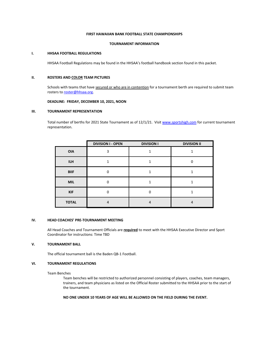## **FIRST HAWAIIAN BANK FOOTBALL STATE CHAMPIONSHIPS**

#### **TOURNAMENT INFORMATION**

#### **I. HHSAA FOOTBALL REGULATIONS**

HHSAA Football Regulations may be found in the HHSAA's football handbook section found in this packet.

### **II. ROSTERS AND COLOR TEAM PICTURES**

Schools with teams that have secured or who are in contention for a tournament berth are required to submit team rosters to **roster@hhsaa.org**.

## **DEADLINE: FRIDAY, DECEMBER 10, 2021, NOON**

#### **III. TOURNAMENT REPRESENTATION**

Total number of berths for 2021 State Tournament as of 12/1/21. Visit www.sportshigh.com for current tournament representation.

|              | <b>DIVISION I - OPEN</b> | <b>DIVISION I</b> | <b>DIVISION II</b> |
|--------------|--------------------------|-------------------|--------------------|
| <b>OIA</b>   | ∍                        |                   |                    |
| <b>ILH</b>   |                          |                   |                    |
| <b>BIIF</b>  | n                        |                   |                    |
| <b>MIL</b>   | n                        |                   |                    |
| <b>KIF</b>   | n                        |                   |                    |
| <b>TOTAL</b> | 4                        | 4                 | 4                  |

## **IV. HEAD COACHES' PRE‐TOURNAMENT MEETING**

All Head Coaches and Tournament Officials are **required** to meet with the HHSAA Executive Director and Sport Coordinator for instructions: Time TBD

### **V. TOURNAMENT BALL**

The official tournament ball is the Baden QB‐1 Football.

## **VI. TOURNAMENT REGULATIONS**

Team Benches

Team benches will be restricted to authorized personnel consisting of players, coaches, team managers, trainers, and team physicians as listed on the Official Roster submitted to the HHSAA prior to the start of the tournament.

### **NO ONE UNDER 10 YEARS OF AGE WILL BE ALLOWED ON THE FIELD DURING THE EVENT.**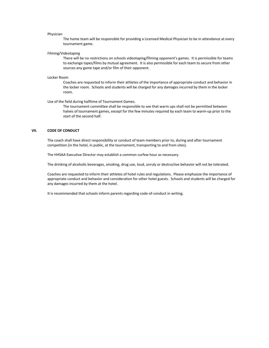#### Physician

The home team will be responsible for providing a Licensed Medical Physician to be in attendance at every tournament game.

#### Filming/Videotaping

There will be no restrictions on schools videotaping/filming opponent's games. It is permissible for teams to exchange tapes/films by mutual agreement. It is also permissible for each team to secure from other sources any game tape and/or film of their opponent.

#### Locker Room

Coaches are requested to inform their athletes of the importance of appropriate conduct and behavior in the locker room. Schools and students will be charged for any damages incurred by them in the locker room.

#### Use of the field during halftime of Tournament Games.

The tournament committee shall be responsible to see that warm ups shall not be permitted between halves of tournament games, except for the few minutes required by each team to warm-up prior to the start of the second half.

## **VII. CODE OF CONDUCT**

The coach shall have direct responsibility or conduct of team members prior to, during and after tournament competition (in the hotel, in public, at the tournament, transporting to and from sites).

The HHSAA Executive Director may establish a common curfew hour as necessary.

The drinking of alcoholic beverages, smoking, drug use, loud, unruly or destructive behavior will not be tolerated.

Coaches are requested to inform their athletes of hotel rules and regulations. Please emphasize the importance of appropriate conduct and behavior and consideration for other hotel guests. Schools and students will be charged for any damages incurred by them at the hotel.

It is recommended that schools inform parents regarding code‐of‐conduct in writing.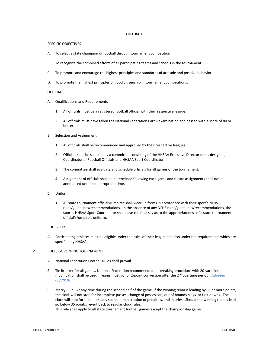#### **FOOTBALL**

#### I. SPECIFIC OBJECTIVES

- A. To select a state champion of football through tournament competition
- B. To recognize the combined efforts of all participating teams and schools in the tournament.
- C. To promote and encourage the highest principles and standards of attitude and positive behavior.
- D. To promote the highest principles of good citizenship in tournament competitions.

#### II. OFFICIALS

- A. Qualifications and Requirements
	- 1. All officials must be a registered football official with their respective league.
	- 2. All officials must have taken the National Federation Part II examination and passed with a score of 80 or better.
- B. Selection and Assignment
	- 1. All officials shall be recommended and approved by their respective leagues.
	- 2. Officials shall be selected by a committee consisting of the HHSAA Executive Director or his designee, Coordinator of Football Officials and HHSAA Sport Coordinator.
	- 3. The committee shall evaluate and schedule officials for all games of the tournament.
	- 4. Assignment of officials shall be determined following each game and future assignments shall not be announced until the appropriate time.
- C. Uniform
	- 1. All state tournament officials/umpires shall wear uniforms in accordance with their sport's NFHS rules/guidelines/recommendations. In the absence of any NFHS rules/guidelines/recommendations, the sport's HHSAA Sport Coordinator shall have the final say as to the appropriateness of a state tournament official's/umpire's uniform.

#### III. ELIGIBILITY

A. Participating athletes must be eligible under the rules of their league and also under the requirements which are specified by HHSAA.

#### IV. RULES GOVERNING TOURNAMENT

- A. National Federation Football Rules shall prevail.
- *B.* Tie Breaker for all games. National Federation recommended tie‐breaking procedure with 20‐yard line modification shall be used. Teams must go for 2-point conversion after the 2<sup>nd</sup> overtime period. *(Adopted 06/2018)*
- C. Mercy Rule: At any time during the second half of the game, if the winning team is leading by 35 or more points, the clock will not stop for incomplete passes, change of possession, out of bounds plays, or first downs. The clock will stop for time outs, any score, administration of penalties, and injuries. Should the winning team's lead go below 35 points, revert back to regular clock rules.

This rule shall apply to all state tournament football games except the championship game.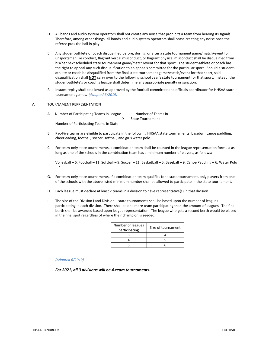- D. All bands and audio system operators shall not create any noise that prohibits a team from hearing its signals. Therefore, among other things, all bands and audio system operators shall cease creating any noise once the referee puts the ball in play.
- E. Any student‐athlete or coach disqualified before, during, or after a state tournament game/match/event for unsportsmanlike conduct, flagrant verbal misconduct, or flagrant physical misconduct shall be disqualified from his/her next scheduled state tournament game/match/event for that sport. The student-athlete or coach has the right to appeal any such disqualification to an appeals committee for the particular sport. Should a studentathlete or coach be disqualified from the final state tournament game/match/event for that sport, said disqualification shall **NOT** carry over to the following school year's state tournament for that sport. Instead, the student-athlete's or coach's league shall determine any appropriate penalty or sanction.
- F. Instant replay shall be allowed as approved by the football committee and officials coordinator for HHSAA state tournament games. *(Adopted 6/2019)*

### V. TOURNAMENT REPRESENTATION

- A. Number of Participating Teams in League Number of Teams in ‐‐‐‐‐‐‐‐‐‐‐‐‐‐‐‐‐‐‐‐‐‐‐‐‐‐‐‐‐‐‐‐‐‐‐‐‐‐‐‐‐‐‐‐‐‐‐‐‐‐‐ X State Tournament Number of Participating Teams in State
- B. Pac‐Five teams are eligible to participate in the following HHSAA state tournaments: baseball, canoe paddling, cheerleading, football, soccer, softball, and girls water polo.
- C. For team‐only state tournaments, a combination team shall be counted in the league representation formula as long as one of the schools in the combination team has a minimum number of players, as follows:

Volleyball – 6, Football – 11, Softball – 9, Soccer – 11, Basketball – 5, Baseball – 9, Canoe Paddling – 6, Water Polo – 7

- G. For team-only state tournaments, if a combination team qualifies for a state tournament, only players from one of the schools with the above listed minimum number shall be allowed to participate in the state tournament.
- H. Each league must declare at least 2 teams in a division to have representative(s) in that division.
- I. The size of the Division I and Division II state tournaments shall be based upon the number of leagues participating in each division. There shall be one more team participating than the amount of leagues. The final berth shall be awarded based upon league representation. The league who gets a second berth would be placed in the final spot regardless of where their champion is seeded.

| Number of leagues<br>participating | Size of tournament |
|------------------------------------|--------------------|
|                                    |                    |
|                                    |                    |
|                                    |                    |

#### *(Adopted 6/2019) ‐*

*For 2021, all 3 divisions will be 4‐team tournaments.*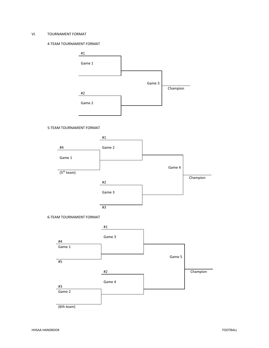## VI. TOURNAMENT FORMAT

## 4‐TEAM TOURNAMENT FORMAT



## 5‐TEAM TOURNAMENT FORMAT



#### 6‐TEAM TOURNAMENT FORMAT

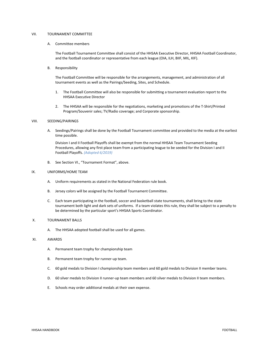### VII. TOURNAMENT COMMITTEE

#### A. Committee members

The Football Tournament Committee shall consist of the HHSAA Executive Director, HHSAA Football Coordinator, and the football coordinator or representative from each league (OIA, ILH, BIIF, MIL, KIF).

B. Responsibility

The Football Committee will be responsible for the arrangements, management, and administration of all tournament events as well as the Pairings/Seeding, Sites, and Schedule.

- 1. The Football Committee will also be responsible for submitting a tournament evaluation report to the HHSAA Executive Director
- 2. The HHSAA will be responsible for the negotiations, marketing and promotions of the T-Shirt/Printed Program/Souvenir sales; TV/Radio coverage; and Corporate sponsorship.

#### VIII. SEEDING/PAIRINGS

A. Seedings/Pairings shall be done by the Football Tournament committee and provided to the media at the earliest time possible.

Division I and II Football Playoffs shall be exempt from the normal HHSAA Team Tournament Seeding Procedures, allowing any first place team from a participating league to be seeded for the Division I and II Football Playoffs. *(Adopted 6/2019)* 

B. See Section VI., "Tournament Format", above.

#### IX. UNIFORMS/HOME TEAM

- A. Uniform requirements as stated in the National Federation rule book.
- B. Jersey colors will be assigned by the Football Tournament Committee.
- C. Each team participating in the football, soccer and basketball state tournaments, shall bring to the state tournament both light and dark sets of uniforms. If a team violates this rule, they shall be subject to a penalty to be determined by the particular sport's HHSAA Sports Coordinator.

## X. TOURNAMENT BALLS

A. The HHSAA adopted football shall be used for all games.

## XI. AWARDS

- A. Permanent team trophy for championship team
- B. Permanent team trophy for runner‐up team.
- C. 60 gold medals to Division I championship team members and 60 gold medals to Division II member teams.
- D. 60 silver medals to Division II runner-up team members and 60 silver medals to Division II team members.
- E. Schools may order additional medals at their own expense.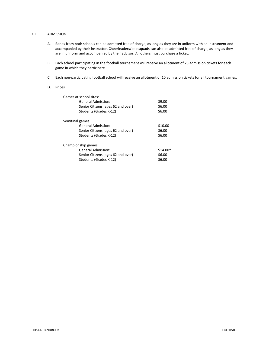### XII. ADMISSION

- A. Bands from both schools can be admitted free of charge, as long as they are in uniform with an instrument and accompanied by their instructor. Cheerleaders/pep squads can also be admitted free of charge, as long as they are in uniform and accompanied by their advisor. All others must purchase a ticket.
- B. Each school participating in the football tournament will receive an allotment of 25 admission tickets for each game in which they participate.
- C. Each non‐participating football school will receive an allotment of 10 admission tickets for all tournament games.
- D. Prices

| Games at school sites:             |           |
|------------------------------------|-----------|
| General Admission:                 | \$9.00    |
| Senior Citizens (ages 62 and over) | \$6.00    |
| Students (Grades K-12)             | \$6.00    |
| Semifinal games:                   |           |
| General Admission:                 | \$10.00   |
| Senior Citizens (ages 62 and over) | \$6.00    |
| Students (Grades K-12)             | \$6.00    |
| Championship games:                |           |
| General Admission:                 | $$14.00*$ |
| Senior Citizens (ages 62 and over) | \$6.00    |
| Students (Grades K-12)             | \$6.00    |